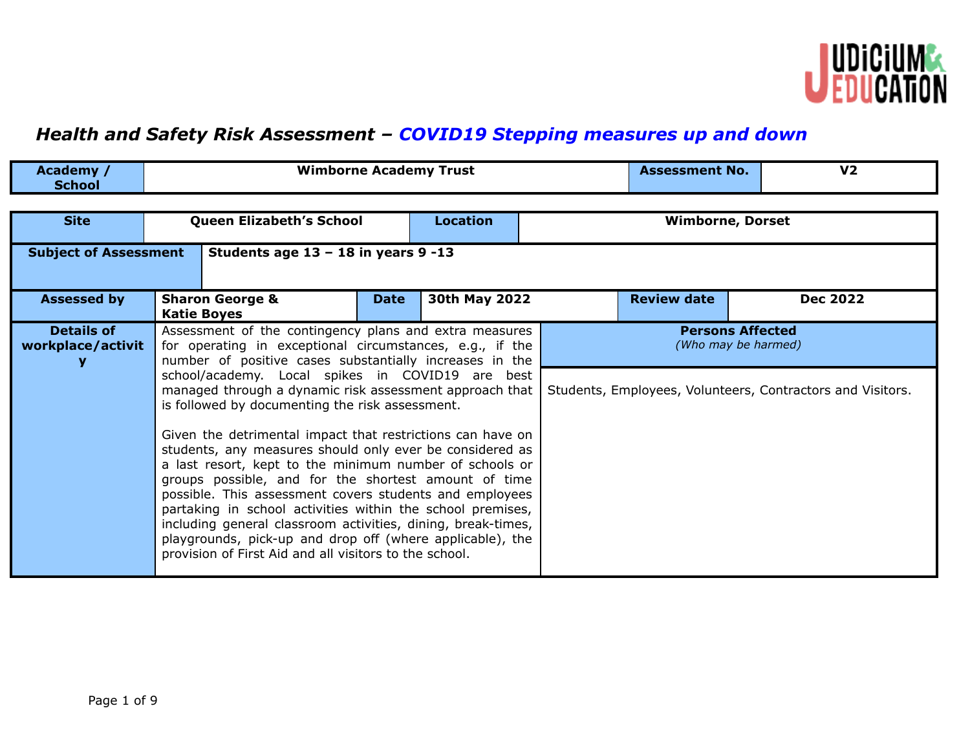

## *Health and Safety Risk Assessment – COVID19 Stepping measures up and down*

| <b>Academy</b> | .<br>Wimborne Academy Trust | <b>Assessment No.</b> | vŋ<br>7∠ |
|----------------|-----------------------------|-----------------------|----------|
| School         |                             |                       |          |

| <b>Site</b>                            | <b>Queen Elizabeth's School</b>                                                                                                                                                                                                                                                                                                                                                                                                                                                                                                                                                                                                                                                                                             |             | <b>Location</b> | <b>Wimborne, Dorset</b>                        |                                                            |  |  |
|----------------------------------------|-----------------------------------------------------------------------------------------------------------------------------------------------------------------------------------------------------------------------------------------------------------------------------------------------------------------------------------------------------------------------------------------------------------------------------------------------------------------------------------------------------------------------------------------------------------------------------------------------------------------------------------------------------------------------------------------------------------------------------|-------------|-----------------|------------------------------------------------|------------------------------------------------------------|--|--|
| <b>Subject of Assessment</b>           | Students age $13 - 18$ in years 9 -13                                                                                                                                                                                                                                                                                                                                                                                                                                                                                                                                                                                                                                                                                       |             |                 |                                                |                                                            |  |  |
| <b>Assessed by</b>                     | <b>Sharon George &amp;</b><br><b>Katie Boyes</b>                                                                                                                                                                                                                                                                                                                                                                                                                                                                                                                                                                                                                                                                            | <b>Date</b> | 30th May 2022   | <b>Review date</b>                             | <b>Dec 2022</b>                                            |  |  |
| <b>Details of</b><br>workplace/activit | Assessment of the contingency plans and extra measures<br>for operating in exceptional circumstances, e.g., if the<br>number of positive cases substantially increases in the                                                                                                                                                                                                                                                                                                                                                                                                                                                                                                                                               |             |                 | <b>Persons Affected</b><br>(Who may be harmed) |                                                            |  |  |
|                                        | school/academy. Local spikes in COVID19 are best<br>managed through a dynamic risk assessment approach that<br>is followed by documenting the risk assessment.<br>Given the detrimental impact that restrictions can have on<br>students, any measures should only ever be considered as<br>a last resort, kept to the minimum number of schools or<br>groups possible, and for the shortest amount of time<br>possible. This assessment covers students and employees<br>partaking in school activities within the school premises,<br>including general classroom activities, dining, break-times,<br>playgrounds, pick-up and drop off (where applicable), the<br>provision of First Aid and all visitors to the school. |             |                 |                                                | Students, Employees, Volunteers, Contractors and Visitors. |  |  |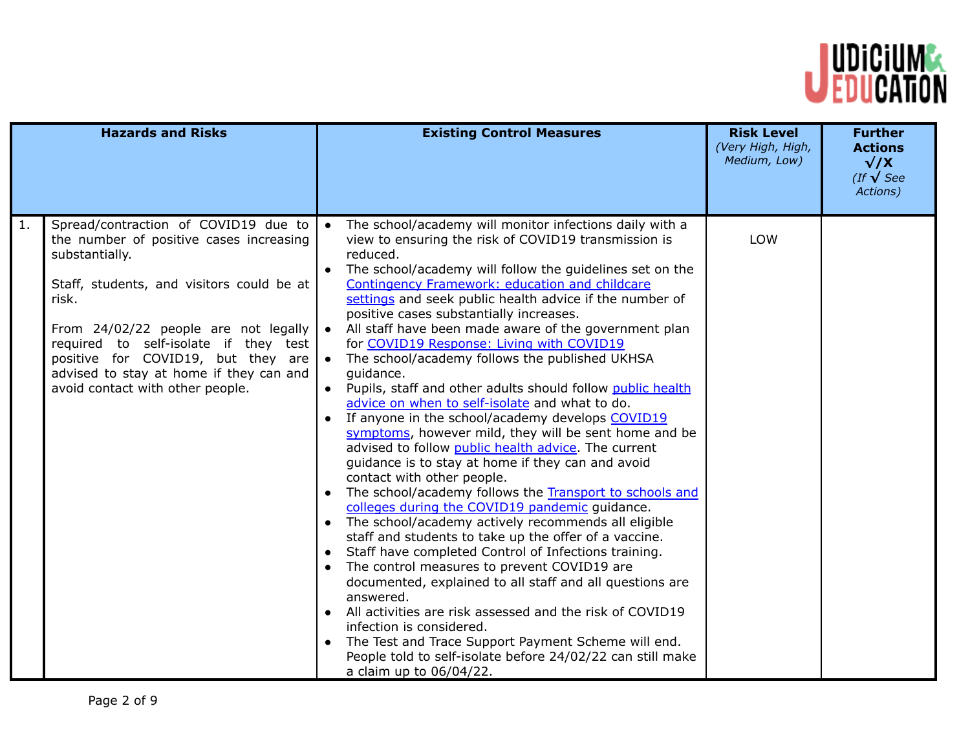

| <b>Hazards and Risks</b>                                                                                                                                                                                                                                                                                                                                            | <b>Existing Control Measures</b>                                                                                                                                                                                                                                                                                                                                                                                                                                                                                                                                                                                                                                                                                                                                                                                                                                                                                                                                                                                                                                                                                                                                                                                                                                                                                                                                                                                                                                                                                                                                                                                            | <b>Risk Level</b><br>(Very High, High,<br>Medium, Low) | <b>Further</b><br><b>Actions</b><br>$\sqrt{X}$<br>(If $\sqrt{\text{See}}$<br>Actions) |
|---------------------------------------------------------------------------------------------------------------------------------------------------------------------------------------------------------------------------------------------------------------------------------------------------------------------------------------------------------------------|-----------------------------------------------------------------------------------------------------------------------------------------------------------------------------------------------------------------------------------------------------------------------------------------------------------------------------------------------------------------------------------------------------------------------------------------------------------------------------------------------------------------------------------------------------------------------------------------------------------------------------------------------------------------------------------------------------------------------------------------------------------------------------------------------------------------------------------------------------------------------------------------------------------------------------------------------------------------------------------------------------------------------------------------------------------------------------------------------------------------------------------------------------------------------------------------------------------------------------------------------------------------------------------------------------------------------------------------------------------------------------------------------------------------------------------------------------------------------------------------------------------------------------------------------------------------------------------------------------------------------------|--------------------------------------------------------|---------------------------------------------------------------------------------------|
| Spread/contraction of COVID19 due to<br>1.<br>the number of positive cases increasing<br>substantially.<br>Staff, students, and visitors could be at<br>risk.<br>From 24/02/22 people are not legally<br>required to self-isolate if they test<br>positive for COVID19, but they are<br>advised to stay at home if they can and<br>avoid contact with other people. | The school/academy will monitor infections daily with a<br>$\bullet$<br>view to ensuring the risk of COVID19 transmission is<br>reduced.<br>The school/academy will follow the guidelines set on the<br>$\bullet$<br>Contingency Framework: education and childcare<br>settings and seek public health advice if the number of<br>positive cases substantially increases.<br>All staff have been made aware of the government plan<br>$\bullet$<br>for COVID19 Response: Living with COVID19<br>The school/academy follows the published UKHSA<br>$\bullet$<br>guidance.<br>. Pupils, staff and other adults should follow public health<br>advice on when to self-isolate and what to do.<br>• If anyone in the school/academy develops COVID19<br>symptoms, however mild, they will be sent home and be<br>advised to follow public health advice. The current<br>guidance is to stay at home if they can and avoid<br>contact with other people.<br>• The school/academy follows the Transport to schools and<br>colleges during the COVID19 pandemic guidance.<br>• The school/academy actively recommends all eligible<br>staff and students to take up the offer of a vaccine.<br>Staff have completed Control of Infections training.<br>$\bullet$<br>The control measures to prevent COVID19 are<br>documented, explained to all staff and all questions are<br>answered.<br>• All activities are risk assessed and the risk of COVID19<br>infection is considered.<br>The Test and Trace Support Payment Scheme will end.<br>People told to self-isolate before 24/02/22 can still make<br>a claim up to 06/04/22. | <b>LOW</b>                                             |                                                                                       |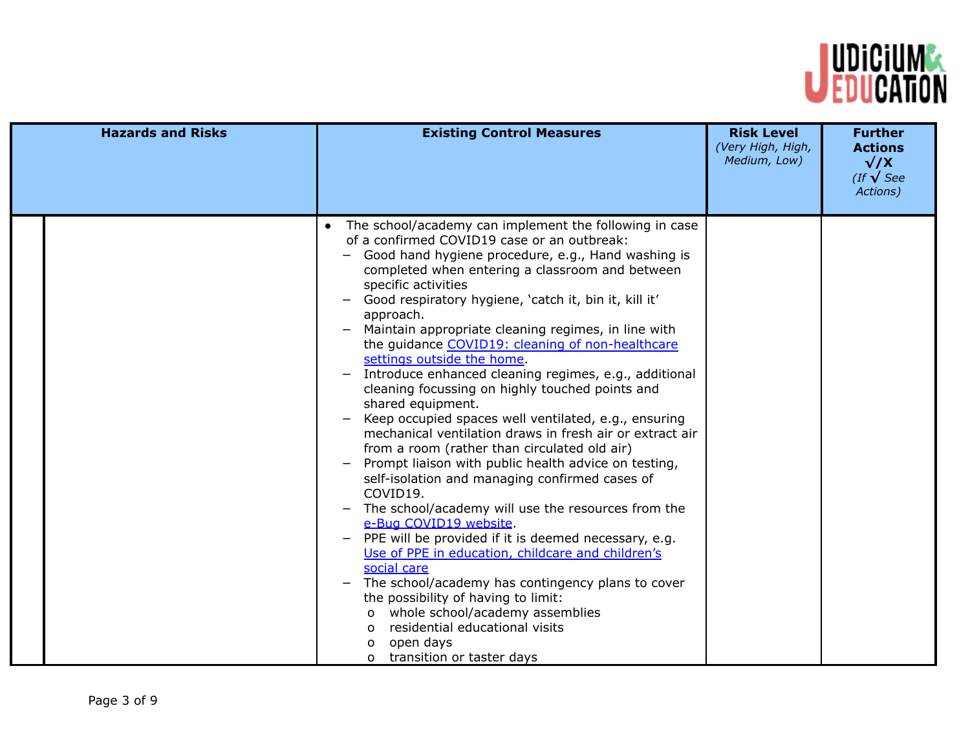

| <b>Hazards and Risks</b> | <b>Existing Control Measures</b>                                                                                                                                                                                                                                                                                                                                                                                                                                                                                                                                                                                                                                                                                                                                                                                                                                                                                                                                                                                                                                                                                                                                                                                                                                                                                                                                     | <b>Risk Level</b><br>(Very High, High,<br>Medium, Low) | <b>Further</b><br><b>Actions</b><br>$\sqrt{X}$<br>(If $\sqrt{\text{See}}$<br>Actions) |
|--------------------------|----------------------------------------------------------------------------------------------------------------------------------------------------------------------------------------------------------------------------------------------------------------------------------------------------------------------------------------------------------------------------------------------------------------------------------------------------------------------------------------------------------------------------------------------------------------------------------------------------------------------------------------------------------------------------------------------------------------------------------------------------------------------------------------------------------------------------------------------------------------------------------------------------------------------------------------------------------------------------------------------------------------------------------------------------------------------------------------------------------------------------------------------------------------------------------------------------------------------------------------------------------------------------------------------------------------------------------------------------------------------|--------------------------------------------------------|---------------------------------------------------------------------------------------|
|                          | The school/academy can implement the following in case<br>$\bullet$<br>of a confirmed COVID19 case or an outbreak:<br>Good hand hygiene procedure, e.g., Hand washing is<br>completed when entering a classroom and between<br>specific activities<br>Good respiratory hygiene, 'catch it, bin it, kill it'<br>approach.<br>Maintain appropriate cleaning regimes, in line with<br>the guidance COVID19: cleaning of non-healthcare<br>settings outside the home.<br>Introduce enhanced cleaning regimes, e.g., additional<br>cleaning focussing on highly touched points and<br>shared equipment.<br>Keep occupied spaces well ventilated, e.g., ensuring<br>mechanical ventilation draws in fresh air or extract air<br>from a room (rather than circulated old air)<br>Prompt liaison with public health advice on testing,<br>self-isolation and managing confirmed cases of<br>COVID19.<br>The school/academy will use the resources from the<br>e-Bug COVID19 website.<br>PPE will be provided if it is deemed necessary, e.g.<br>$\overline{\phantom{0}}$<br>Use of PPE in education, childcare and children's<br>social care<br>The school/academy has contingency plans to cover<br>the possibility of having to limit:<br>o whole school/academy assemblies<br>residential educational visits<br>$\Omega$<br>open days<br>0<br>o transition or taster days |                                                        |                                                                                       |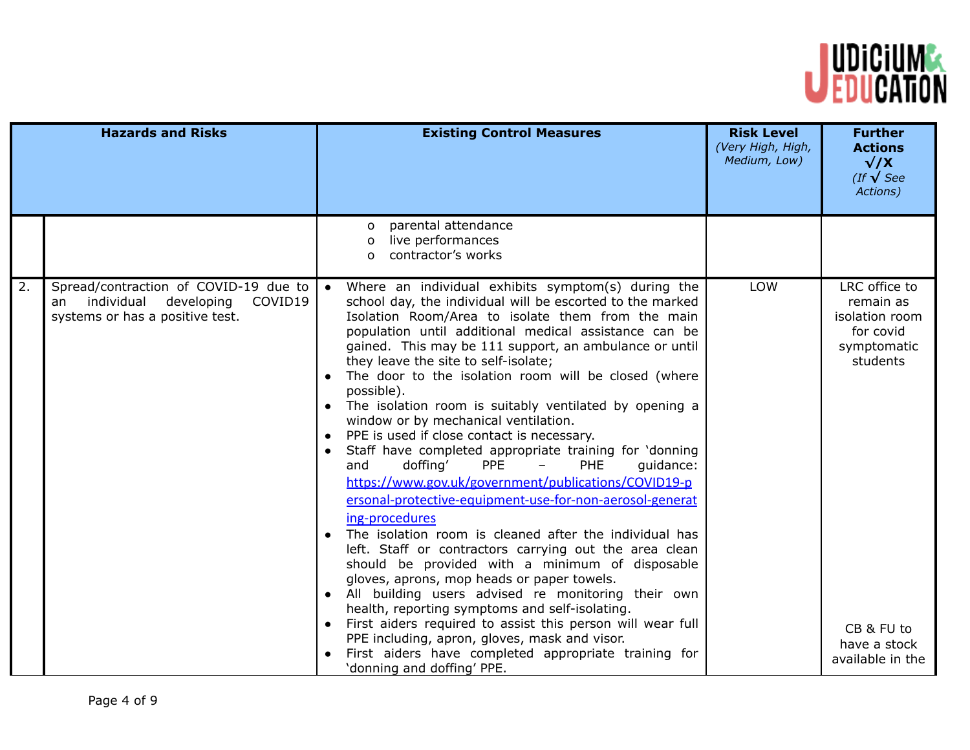

|    | <b>Hazards and Risks</b>                                                                                              | <b>Existing Control Measures</b>                                                                                                                                                                                                                                                                                                                                                                                                                                                                                                                                                                                                                                                                                                                                                                                                                                                                                                                                                                                                                                                                                                                                                                                                                                                                                                                                                                                                                       | <b>Risk Level</b><br>(Very High, High,<br>Medium, Low) | <b>Further</b><br><b>Actions</b><br>$\sqrt{X}$<br>(If $\sqrt{\text{See}}$<br>Actions)                                                  |
|----|-----------------------------------------------------------------------------------------------------------------------|--------------------------------------------------------------------------------------------------------------------------------------------------------------------------------------------------------------------------------------------------------------------------------------------------------------------------------------------------------------------------------------------------------------------------------------------------------------------------------------------------------------------------------------------------------------------------------------------------------------------------------------------------------------------------------------------------------------------------------------------------------------------------------------------------------------------------------------------------------------------------------------------------------------------------------------------------------------------------------------------------------------------------------------------------------------------------------------------------------------------------------------------------------------------------------------------------------------------------------------------------------------------------------------------------------------------------------------------------------------------------------------------------------------------------------------------------------|--------------------------------------------------------|----------------------------------------------------------------------------------------------------------------------------------------|
|    |                                                                                                                       | parental attendance<br>$\Omega$<br>live performances<br>0<br>contractor's works<br>$\Omega$                                                                                                                                                                                                                                                                                                                                                                                                                                                                                                                                                                                                                                                                                                                                                                                                                                                                                                                                                                                                                                                                                                                                                                                                                                                                                                                                                            |                                                        |                                                                                                                                        |
| 2. | Spread/contraction of COVID-19 due to<br>individual<br>developing<br>COVID19<br>an<br>systems or has a positive test. | Where an individual exhibits symptom(s) during the<br>school day, the individual will be escorted to the marked<br>Isolation Room/Area to isolate them from the main<br>population until additional medical assistance can be<br>gained. This may be 111 support, an ambulance or until<br>they leave the site to self-isolate;<br>The door to the isolation room will be closed (where<br>$\bullet$<br>possible).<br>The isolation room is suitably ventilated by opening a<br>$\bullet$<br>window or by mechanical ventilation.<br>PPE is used if close contact is necessary.<br>$\bullet$<br>Staff have completed appropriate training for 'donning<br>$\bullet$<br>doffing'<br><b>PPE</b><br>PHE<br>guidance:<br>and<br>$\overline{\phantom{0}}$<br>https://www.gov.uk/government/publications/COVID19-p<br>ersonal-protective-equipment-use-for-non-aerosol-generat<br>ing-procedures<br>The isolation room is cleaned after the individual has<br>$\bullet$<br>left. Staff or contractors carrying out the area clean<br>should be provided with a minimum of disposable<br>gloves, aprons, mop heads or paper towels.<br>All building users advised re monitoring their own<br>$\bullet$<br>health, reporting symptoms and self-isolating.<br>First aiders required to assist this person will wear full<br>PPE including, apron, gloves, mask and visor.<br>First aiders have completed appropriate training for<br>'donning and doffing' PPE. | LOW                                                    | LRC office to<br>remain as<br>isolation room<br>for covid<br>symptomatic<br>students<br>CB & FU to<br>have a stock<br>available in the |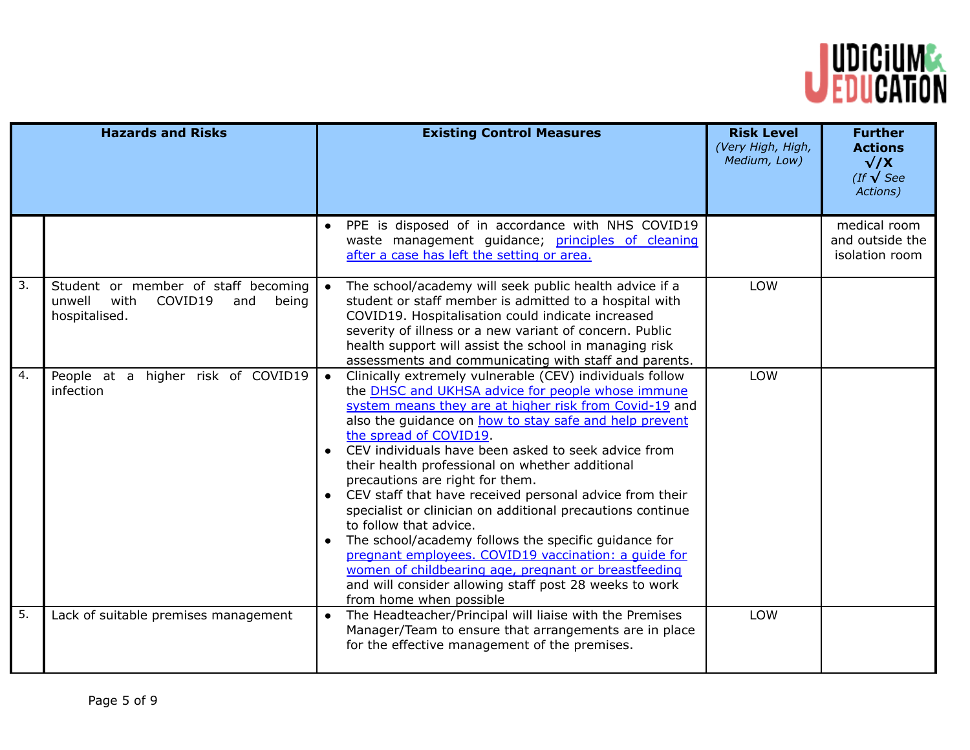

|                  | <b>Hazards and Risks</b>                                                                          |                        | <b>Existing Control Measures</b>                                                                                                                                                                                                                                                                                                                                                                                                                                                                                                                                                                                                                                                                                                                                                                                         | <b>Risk Level</b><br>(Very High, High,<br>Medium, Low) | <b>Further</b><br><b>Actions</b><br>$\sqrt{X}$<br>(If $\sqrt{\text{See}}$<br>Actions) |
|------------------|---------------------------------------------------------------------------------------------------|------------------------|--------------------------------------------------------------------------------------------------------------------------------------------------------------------------------------------------------------------------------------------------------------------------------------------------------------------------------------------------------------------------------------------------------------------------------------------------------------------------------------------------------------------------------------------------------------------------------------------------------------------------------------------------------------------------------------------------------------------------------------------------------------------------------------------------------------------------|--------------------------------------------------------|---------------------------------------------------------------------------------------|
|                  |                                                                                                   |                        | PPE is disposed of in accordance with NHS COVID19<br>waste management guidance; principles of cleaning<br>after a case has left the setting or area.                                                                                                                                                                                                                                                                                                                                                                                                                                                                                                                                                                                                                                                                     |                                                        | medical room<br>and outside the<br>isolation room                                     |
| 3.               | Student or member of staff becoming<br>unwell<br>with<br>COVID19<br>and<br>being<br>hospitalised. |                        | The school/academy will seek public health advice if a<br>student or staff member is admitted to a hospital with<br>COVID19. Hospitalisation could indicate increased<br>severity of illness or a new variant of concern. Public<br>health support will assist the school in managing risk<br>assessments and communicating with staff and parents.                                                                                                                                                                                                                                                                                                                                                                                                                                                                      | LOW                                                    |                                                                                       |
| $\overline{4}$ . | higher risk of COVID19<br>People at a<br>infection                                                | $\bullet$<br>$\bullet$ | Clinically extremely vulnerable (CEV) individuals follow<br>the DHSC and UKHSA advice for people whose immune<br>system means they are at higher risk from Covid-19 and<br>also the guidance on how to stay safe and help prevent<br>the spread of COVID19.<br>CEV individuals have been asked to seek advice from<br>their health professional on whether additional<br>precautions are right for them.<br>CEV staff that have received personal advice from their<br>specialist or clinician on additional precautions continue<br>to follow that advice.<br>The school/academy follows the specific guidance for<br>pregnant employees. COVID19 vaccination: a quide for<br>women of childbearing age, pregnant or breastfeeding<br>and will consider allowing staff post 28 weeks to work<br>from home when possible | LOW                                                    |                                                                                       |
| 5.               | Lack of suitable premises management                                                              |                        | The Headteacher/Principal will liaise with the Premises<br>Manager/Team to ensure that arrangements are in place<br>for the effective management of the premises.                                                                                                                                                                                                                                                                                                                                                                                                                                                                                                                                                                                                                                                        | LOW                                                    |                                                                                       |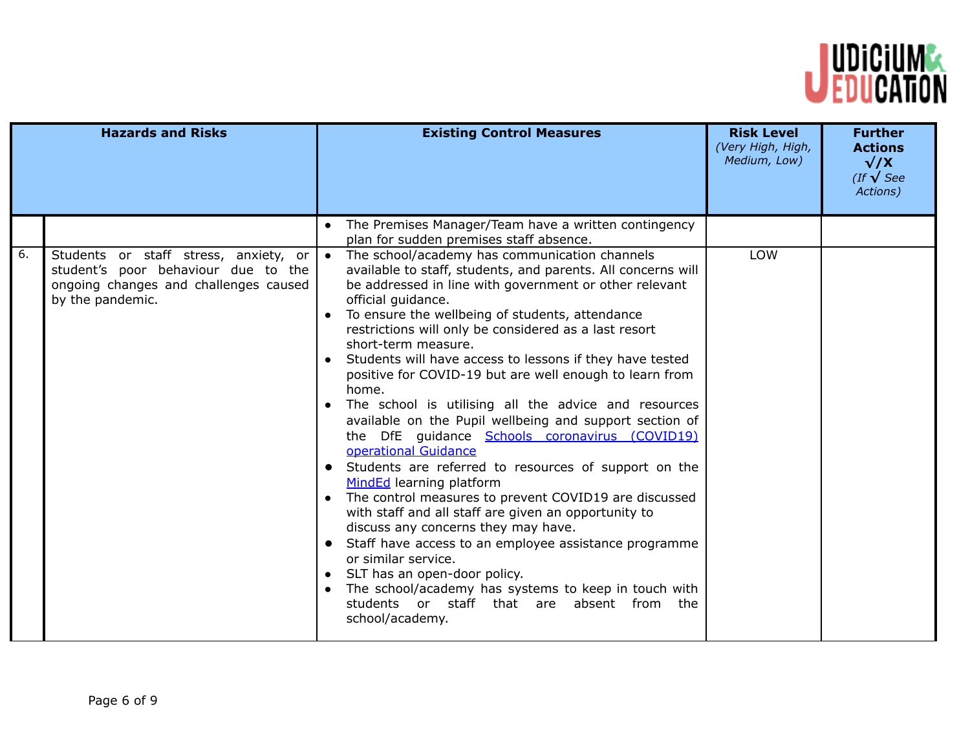

|    | <b>Hazards and Risks</b>                                                                                                                  | <b>Existing Control Measures</b>                                                                                                                                                                                                                                                                                                                                                                                                                                                                                                                                                                                                                                                                                                                                                                                                                                                                                                                                                                                                                                                                                                                                             | <b>Risk Level</b><br>(Very High, High,<br>Medium, Low) | <b>Further</b><br><b>Actions</b><br>$\sqrt{X}$<br>(If $\sqrt{\text{See}}$<br>Actions) |
|----|-------------------------------------------------------------------------------------------------------------------------------------------|------------------------------------------------------------------------------------------------------------------------------------------------------------------------------------------------------------------------------------------------------------------------------------------------------------------------------------------------------------------------------------------------------------------------------------------------------------------------------------------------------------------------------------------------------------------------------------------------------------------------------------------------------------------------------------------------------------------------------------------------------------------------------------------------------------------------------------------------------------------------------------------------------------------------------------------------------------------------------------------------------------------------------------------------------------------------------------------------------------------------------------------------------------------------------|--------------------------------------------------------|---------------------------------------------------------------------------------------|
|    |                                                                                                                                           | The Premises Manager/Team have a written contingency<br>plan for sudden premises staff absence.                                                                                                                                                                                                                                                                                                                                                                                                                                                                                                                                                                                                                                                                                                                                                                                                                                                                                                                                                                                                                                                                              |                                                        |                                                                                       |
| 6. | Students or staff stress, anxiety, or<br>student's poor behaviour due to the<br>ongoing changes and challenges caused<br>by the pandemic. | The school/academy has communication channels<br>available to staff, students, and parents. All concerns will<br>be addressed in line with government or other relevant<br>official guidance.<br>To ensure the wellbeing of students, attendance<br>restrictions will only be considered as a last resort<br>short-term measure.<br>Students will have access to lessons if they have tested<br>positive for COVID-19 but are well enough to learn from<br>home.<br>The school is utilising all the advice and resources<br>available on the Pupil wellbeing and support section of<br>the DfE guidance Schools coronavirus (COVID19)<br>operational Guidance<br>Students are referred to resources of support on the<br>$\bullet$<br>MindEd learning platform<br>The control measures to prevent COVID19 are discussed<br>with staff and all staff are given an opportunity to<br>discuss any concerns they may have.<br>Staff have access to an employee assistance programme<br>$\bullet$<br>or similar service.<br>SLT has an open-door policy.<br>The school/academy has systems to keep in touch with<br>students or staff that are absent from the<br>school/academy. | <b>LOW</b>                                             |                                                                                       |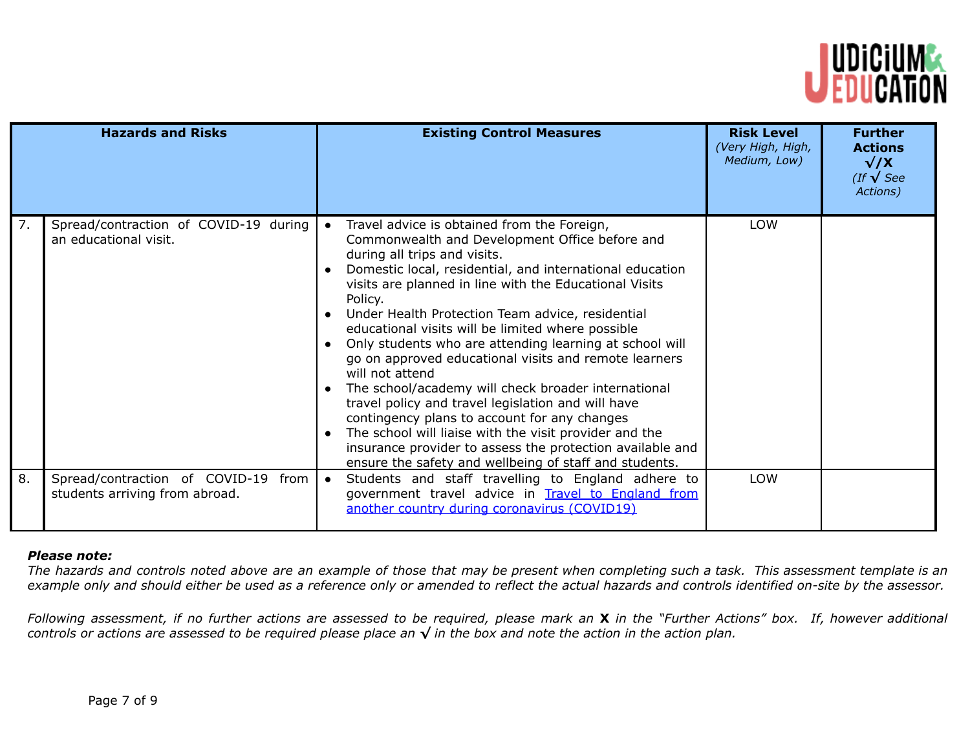

|    | <b>Hazards and Risks</b>                                                 | <b>Existing Control Measures</b>                                                                                                                                                                                                                                                                                                                                                                                                                                                                                                                                                                                                                                                                                                                                                                                                                             | <b>Risk Level</b><br>(Very High, High,<br>Medium, Low) | <b>Further</b><br><b>Actions</b><br>$\sqrt{X}$<br>$($ If $\sqrt{\text{See}}$<br>Actions) |
|----|--------------------------------------------------------------------------|--------------------------------------------------------------------------------------------------------------------------------------------------------------------------------------------------------------------------------------------------------------------------------------------------------------------------------------------------------------------------------------------------------------------------------------------------------------------------------------------------------------------------------------------------------------------------------------------------------------------------------------------------------------------------------------------------------------------------------------------------------------------------------------------------------------------------------------------------------------|--------------------------------------------------------|------------------------------------------------------------------------------------------|
| 7. | Spread/contraction of COVID-19 during<br>an educational visit.           | Travel advice is obtained from the Foreign,<br>Commonwealth and Development Office before and<br>during all trips and visits.<br>Domestic local, residential, and international education<br>visits are planned in line with the Educational Visits<br>Policy.<br>Under Health Protection Team advice, residential<br>educational visits will be limited where possible<br>Only students who are attending learning at school will<br>go on approved educational visits and remote learners<br>will not attend<br>The school/academy will check broader international<br>travel policy and travel legislation and will have<br>contingency plans to account for any changes<br>The school will liaise with the visit provider and the<br>insurance provider to assess the protection available and<br>ensure the safety and wellbeing of staff and students. | LOW                                                    |                                                                                          |
| 8. | Spread/contraction of COVID-19<br>from<br>students arriving from abroad. | Students and staff travelling to England adhere to<br>$\bullet$<br>government travel advice in Travel to England from<br>another country during coronavirus (COVID19)                                                                                                                                                                                                                                                                                                                                                                                                                                                                                                                                                                                                                                                                                        | <b>LOW</b>                                             |                                                                                          |

## *Please note:*

The hazards and controls noted above are an example of those that may be present when completing such a task. This assessment template is an example only and should either be used as a reference only or amended to reflect the actual hazards and controls identified on-site by the assessor.

Following assessment, if no further actions are assessed to be required, please mark an X in the "Further Actions" box. If, however additional controls or actions are assessed to be required please place an  $\sqrt$  in the box and note the action in the action plan.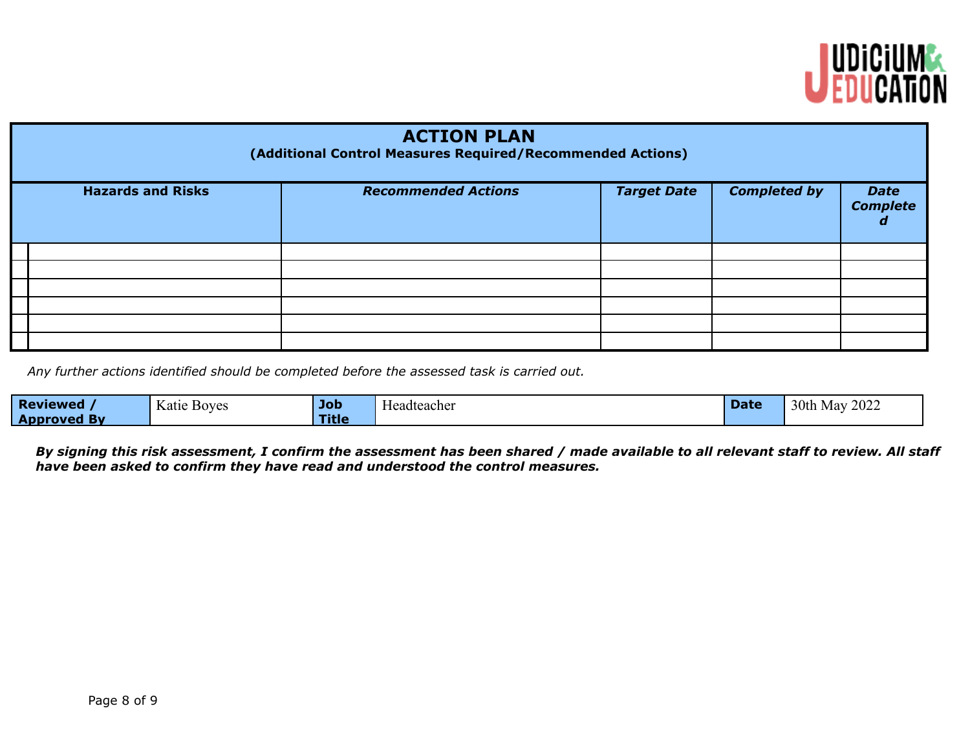

| <b>ACTION PLAN</b><br>(Additional Control Measures Required/Recommended Actions) |                            |                    |                     |                                |  |  |  |  |
|----------------------------------------------------------------------------------|----------------------------|--------------------|---------------------|--------------------------------|--|--|--|--|
| <b>Hazards and Risks</b>                                                         | <b>Recommended Actions</b> | <b>Target Date</b> | <b>Completed by</b> | <b>Date</b><br><b>Complete</b> |  |  |  |  |
|                                                                                  |                            |                    |                     |                                |  |  |  |  |
|                                                                                  |                            |                    |                     |                                |  |  |  |  |
|                                                                                  |                            |                    |                     |                                |  |  |  |  |
|                                                                                  |                            |                    |                     |                                |  |  |  |  |
|                                                                                  |                            |                    |                     |                                |  |  |  |  |
|                                                                                  |                            |                    |                     |                                |  |  |  |  |

*Any further actions identified should be completed before the assessed task is carried out.*

| <b>Reviewed</b>    | $\mathbf{r}$<br>Katie<br><b>Boyes</b> | Job   | T<br><b>Headteacher</b> | Dalt | 2022<br>30th<br>Mav |
|--------------------|---------------------------------------|-------|-------------------------|------|---------------------|
| <b>Approved By</b> |                                       | Title |                         |      |                     |

By signing this risk assessment, I confirm the assessment has been shared / made available to all relevant staff to review. All staff *have been asked to confirm they have read and understood the control measures.*